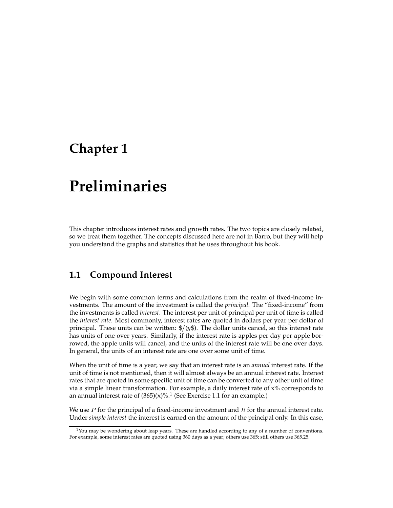## **Chapter 1**

# **Preliminaries**

This chapter introduces interest rates and growth rates. The two topics are closely related, so we treat them together. The concepts discussed here are not in Barro, but they will help you understand the graphs and statistics that he uses throughout his book.

## **1.1 Compound Interest**

We begin with some common terms and calculations from the realm of fixed-income investments. The amount of the investment is called the *principal*. The "fixed-income" from the investments is called *interest*. The interest per unit of principal per unit of time is called the *interest rate*. Most commonly, interest rates are quoted in dollars per year per dollar of principal. These units can be written:  $\frac{f}{g}(y\$ . The dollar units cancel, so this interest rate has units of one over years. Similarly, if the interest rate is apples per day per apple borrowed, the apple units will cancel, and the units of the interest rate will be one over days. In general, the units of an interest rate are one over some unit of time.

When the unit of time is a year, we say that an interest rate is an *annual* interest rate. If the unit of time is not mentioned, then it will almost always be an annual interest rate. Interest rates that are quoted in some specific unit of time can be converted to any other unit of time via a simple linear transformation. For example, a daily interest rate of  $x\%$  corresponds to an annual interest rate of  $(365)(x)\%$ <sup>1</sup> (See Exercise 1.1 for an example.)

We use  $P$  for the principal of a fixed-income investment and  $R$  for the annual interest rate. Under *simple interest* the interest is earned on the amount of the principal only. In this case,

 $<sup>1</sup>$ You may be wondering about leap years. These are handled according to any of a number of conventions.</sup> For example, some interest rates are quoted using 360 days as a year; others use 365; still others use 365.25.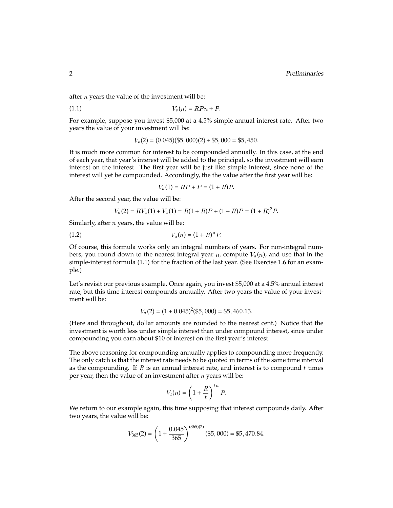after <sup>n</sup> years the value of the investment will be:

$$
(1.1) \t\t Vs(n) = RPn + P.
$$

For example, suppose you invest \$5,000 at a 4.5% simple annual interest rate. After two years the value of your investment will be:

$$
V_s(2) = (0.045)(\$5,000)(2) + \$5,000 = \$5,450.
$$

It is much more common for interest to be compounded annually. In this case, at the end of each year, that year's interest will be added to the principal, so the investment will earn interest on the interest. The first year will be just like simple interest, since none of the interest will yet be compounded. Accordingly, the the value after the first year will be:

$$
V_a(1) = RP + P = (1+R)P.
$$

After the second year, the value will be:

$$
V_a(2) = RV_a(1) + V_a(1) = R(1+R)P + (1+R)P = (1+R)^2P
$$

Similarly, after  $n$  years, the value will be:

$$
(1.2) \t\t V_a(n) = (1+R)^n P.
$$

Of course, this formula works only an integral numbers of years. For non-integral numbers, you round down to the nearest integral year n, compute  $V_a(n)$ , and use that in the simple-interest formula (1.1) for the fraction of the last year. (See Exercise 1.6 for an example.)

Let's revisit our previous example. Once again, you invest \$5,000 at a 4.5% annual interest rate, but this time interest compounds annually. After two years the value of your investment will be:

$$
V_a(2) = (1 + 0.045)^2(\$5,000) = \$5,460.13
$$

(Here and throughout, dollar amounts are rounded to the nearest cent.) Notice that the investment is worth less under simple interest than under compound interest, since under compounding you earn about \$10 of interest on the first year's interest.

The above reasoning for compounding annually applies to compounding more frequently. The only catch is that the interest rate needs to be quoted in terms of the same time interval as the compounding. If  $R$  is an annual interest rate, and interest is to compound  $t$  times per year, then the value of an investment after  $n$  years will be:

$$
V_t(n) = \left(1 + \frac{R}{t}\right)^{tn} P.
$$

We return to our example again, this time supposing that interest compounds daily. After two years, the value will be:

$$
V_{365}(2) = \left(1 + \frac{0.045}{365}\right)^{(365)(2)}(\$5,000) = \$5,470.84.
$$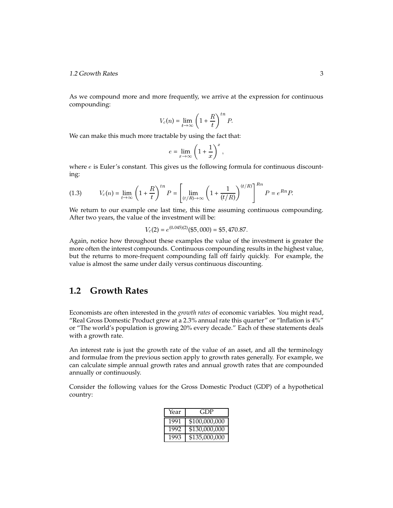#### 1.2 Growth Rates 3

As we compound more and more frequently, we arrive at the expression for continuous compounding:

$$
V_c(n) = \lim_{t \to \infty} \left(1 + \frac{R}{t}\right)^{tn} P.
$$

We can make this much more tractable by using the fact that:

$$
e = \lim_{x \to \infty} \left( 1 + \frac{1}{x} \right)^x,
$$

where  $e$  is Euler's constant. This gives us the following formula for continuous discounting:

(1.3) 
$$
V_c(n) = \lim_{t \to \infty} \left(1 + \frac{R}{t}\right)^{tn} P = \left[\lim_{(t/R) \to \infty} \left(1 + \frac{1}{(t/R)}\right)^{(t/R)}\right]^{tn} P = e^{Rn} P.
$$

We return to our example one last time, this time assuming continuous compounding. After two years, the value of the investment will be:

$$
V_c(2) = e^{(0.045)(2)}(\$5,000) = \$5,470.87.
$$

Again, notice how throughout these examples the value of the investment is greater the more often the interest compounds. Continuous compounding results in the highest value, but the returns to more-frequent compounding fall off fairly quickly. For example, the value is almost the same under daily versus continuous discounting.

## **1.2 Growth Rates**

Economists are often interested in the *growth rates* of economic variables. You might read, "Real Gross Domestic Product grew at a 2.3% annual rate this quarter"or "Inflation is 4%" or "The world's population is growing 20% every decade."Each of these statements deals with a growth rate.

An interest rate is just the growth rate of the value of an asset, and all the terminology and formulae from the previous section apply to growth rates generally. For example, we can calculate simple annual growth rates and annual growth rates that are compounded annually or continuously.

Consider the following values for the Gross Domestic Product (GDP) of a hypothetical country:

| Year | GDP)          |
|------|---------------|
| 1991 | \$100,000,000 |
| 1992 | \$130,000,000 |
| 1993 | \$135,000,000 |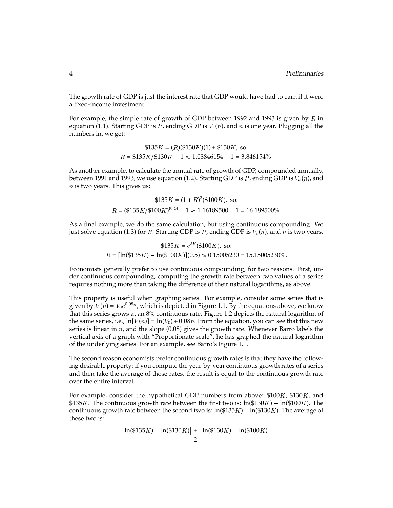The growth rate of GDP is just the interest rate that GDP would have had to earn if it were a fixed-income investment.

For example, the simple rate of growth of GDP between 1992 and 1993 is given by  $R$  in equation (1.1). Starting GDP is P, ending GDP is  $V_s(n)$ , and n is one year. Plugging all the numbers in, we get:

$$
$135K = (R)(\$130K)(1) + \$130K
$$
, so:  
\n $R = \$135K/\$130K - 1 \approx 1.03846154 - 1 = 3.846154\%$ .

As another example, to calculate the annual rate of growth of GDP, compounded annually, between 1991 and 1993, we use equation (1.2). Starting GDP is  $P$ , ending GDP is  $V_a(n)$ , and  $n$  is two years. This gives us:

$$
$135K = (1 + R)^2 ($100K)
$$
, so:  
\n $R = ($135K/$100K)^{(0.5)} - 1 \approx 1.16189500 - 1 = 16.189500\%.$ 

As a final example, we do the same calculation, but using continuous compounding. We just solve equation (1.3) for R. Starting GDP is P, ending GDP is  $V_c(n)$ , and n is two years.

$$
$135K = e^{2R} ($100K), so:
$$
  
 $R = [\ln ($135K) - \ln ($100K)](0.5) \approx 0.15005230 = 15.15005230\%.$ 

Economists generally prefer to use continuous compounding, for two reasons. First, under continuous compounding, computing the growth rate between two values of a series requires nothing more than taking the difference of their natural logarithms, as above.

This property is useful when graphing series. For example, consider some series that is given by  $V(n)=V_0e^{0.08n}$ , which is depicted in Figure 1.1. By the equations above, we know that this series grows at an 8% continuous rate. Figure 1.2 depicts the natural logarithm of the same series, i.e.,  $\ln[V(n)] = \ln(V_0) + 0.08n$ . From the equation, you can see that this new series is linear in  $n$ , and the slope  $(0.08)$  gives the growth rate. Whenever Barro labels the vertical axis of a graph with "Proportionate scale", he has graphed the natural logarithm of the underlying series. For an example, see Barro's Figure 1.1.

The second reason economists prefer continuous growth rates is that they have the following desirable property: if you compute the year-by-year continuous growth rates of a series and then take the average of those rates, the result is equal to the continuous growth rate over the entire interval.

For example, consider the hypothetical GDP numbers from above: \$100K, \$130K, and \$135K. The continuous growth rate between the first two is:  $ln(130K) - ln(100K)$ . The continuous growth rate between the second two is:  $ln($135K) - ln($130K)$ . The average of these two is:

$$
\frac{[\ln(\$135K) - \ln(\$130K)] + [\ln(\$130K) - \ln(\$100K)]}{2}.
$$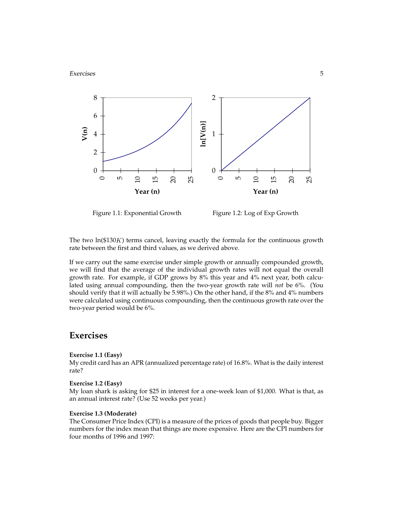#### Exercises 5



Figure 1.1: Exponential Growth

Figure 1.2: Log of Exp Growth

The two  $\ln(130K)$  terms cancel, leaving exactly the formula for the continuous growth rate between the first and third values, as we derived above.

If we carry out the same exercise under simple growth or annually compounded growth, we will find that the average of the individual growth rates will not equal the overall growth rate. For example, if GDP grows by 8% this year and 4% next year, both calculated using annual compounding, then the two-year growth rate will *not* be 6%. (You should verify that it will actually be 5.98%.) On the other hand, if the 8% and 4% numbers were calculated using continuous compounding, then the continuous growth rate over the two-year period would be 6%.

### **Exercises**

#### **Exercise 1.1 (Easy)**

My credit card has an APR (annualized percentage rate) of 16.8%. What is the daily interest rate?

#### **Exercise 1.2 (Easy)**

My loan shark is asking for \$25 in interest for a one-week loan of \$1,000. What is that, as an annual interest rate? (Use 52 weeks per year.)

#### **Exercise 1.3 (Moderate)**

The Consumer Price Index (CPI) is a measure of the prices of goods that people buy. Bigger numbers for the index mean that things are more expensive. Here are the CPI numbers for four months of 1996 and 1997: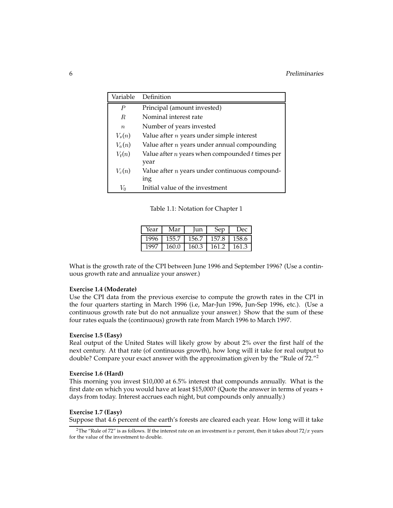| Variable         | Definition                                                  |  |
|------------------|-------------------------------------------------------------|--|
| $\boldsymbol{P}$ | Principal (amount invested)                                 |  |
| R.               | Nominal interest rate                                       |  |
| $\boldsymbol{n}$ | Number of years invested                                    |  |
| $V_s(n)$         | Value after $n$ years under simple interest                 |  |
| $V_a(n)$         | Value after $n$ years under annual compounding              |  |
| $V_t(n)$         | Value after $n$ years when compounded $t$ times per<br>year |  |
| $V_c(n)$         | Value after $n$ years under continuous compound-            |  |
|                  | ing                                                         |  |
| $V_0$            | Initial value of the investment                             |  |

Table 1.1: Notation for Chapter 1

| Year | Mar   | Iun   | Sep   | Dec   |
|------|-------|-------|-------|-------|
| 1996 | 155.7 | 156.7 | 157.8 | 158.6 |
| 1997 | 160.0 | 160.3 | 161.2 | 161.3 |

What is the growth rate of the CPI between June 1996 and September 1996? (Use a continuous growth rate and annualize your answer.)

#### **Exercise 1.4 (Moderate)**

Use the CPI data from the previous exercise to compute the growth rates in the CPI in the four quarters starting in March 1996 (i.e, Mar-Jun 1996, Jun-Sep 1996, etc.). (Use a continuous growth rate but do not annualize your answer.) Show that the sum of these four rates equals the (continuous) growth rate from March 1996 to March 1997.

#### **Exercise 1.5 (Easy)**

Real output of the United States will likely grow by about 2% over the first half of the next century. At that rate (of continuous growth), how long will it take for real output to double? Compare your exact answer with the approximation given by the "Rule of 72."<sup>2</sup>

#### **Exercise 1.6 (Hard)**

This morning you invest \$10,000 at 6.5% interest that compounds annually. What is the first date on which you would have at least \$15,000? (Quote the answer in terms of years + days from today. Interest accrues each night, but compounds only annually.)

#### **Exercise 1.7 (Easy)**

Suppose that 4.6 percent of the earth's forests are cleared each year. How long will it take

<sup>&</sup>lt;sup>2</sup>The "Rule of 72" is as follows. If the interest rate on an investment is x percent, then it takes about 72/x years for the value of the investment to double.